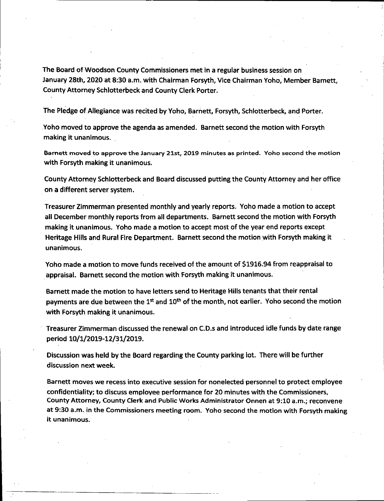**The Board of Woodson County Commissioners met in a regular business session on January 28th, 2020 at 8:30 a.m. with Chairman Forsyth, Vice Chairman Yoho, Member Barnett, County Attorney Schlotterbeck and County Clerk Porter.**

**The Pledge of Allegiance was recited by Yoho, Barnett, Forsyth, Schlotterbeck, and Porter.**

**Yoho moved to approve the agenda as amended. Barnett second the motion with Forsyth making it unanimous.**

**Barnett moved to approve the January 21st, 2019 minutes as printed. Yoho second the motion with Forsyth making it unanimous.**

**County Attorney Schlotterbeck and Board discussed putting the County Attorney and her office on a different server system.**

**Treasurer Zimmerman presented monthly and yearly reports. Yoho made a motion to accept ail December monthly reports from all departments. Barnett second the motion with Forsyth making it unanimous. Yoho made a motion to accept most of the year end reports except Heritage Hills and Rural Fire Department. Barnett second the motion with Forsyth making it unanimous.**

**Yoho made a motion to move funds received of the amount of \$1916.94 from reappraisal to appraisal. Barnett second the motion with Forsyth making it unanimous.**

**Barnett made the motion to have letters send to Heritage Hills tenants that their rental payments are due between the 1st and 10th of the month, not earlier. Yoho second the motion with Forsyth making it unanimous.**

**Treasurer Zimmerman discussed the renewal on C.D.s and introduced idle funds by date range period 10/1/2019-12/31/2019.**

**Discussion was held by the Board regarding the County parking lot. There will be further discussion next week.**

**Barnett moves we recess into executive session for nonelected personnel to protect employee confidentiality; to discuss employee performance for 20 minutes with the Commissioners, County Attorney, County Clerk and Public Works Administrator Onnen at 9:10 a.m.; reconvene at 9:30 a.m. in the Commissioners meeting room. Yoho second the motion with Forsyth making it unanimous.**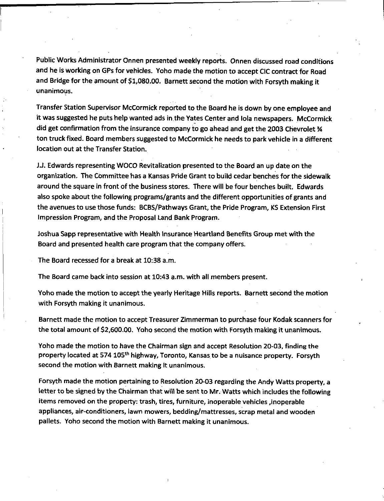Public Works Administrator Onnen presented weekly reports. Onnen discussed road conditions and he is working on GPs for vehicles. Yoho made the motion to accept CIC contract for Road and Bridge for the amount of \$1,080.00. Barnett second the motion with Forsyth making it unanimous.

Transfer Station Supervisor McCormick reported to the Board he is down by one employee and it was suggested he puts help wanted ads in the Yates Center and lola newspapers. McCormick did get confirmation from the insurance company to go ahead and get the 2003 Chevrolet *%* ton truck fixed. Board members suggested to McCormick he needs to park vehicle in a different location out at the Transfer Station.

<sup>J</sup> J. Edwards representing WOCO Revitalization presented to the Board an up date on the organization. The Committee has <sup>a</sup> Kansas Pride Grant to build cedar benches for the sidewalk around the square in front of the business stores. There will be four benches built. Edwards also spoke about the following programs/grants and the different opportunities of grants and the avenues to use those funds: BCBS/Pathways Grant, the Pride Program, KS Extension First Impression Program, and the Proposal Land Bank Program.

Joshua Sapp representative with Health insurance Heartland Benefits Group met with the Board and presented health care program that the company offers.

The Board recessed for a break at 10:38 a.m.

The Board came back into session at 10:43 a.m. with all members present.

Yoho made the motion to accept the yearly Heritage Hills reports. Barnett second the motion with Forsyth making it unanimous.

Barnett made the motion to accept Treasurer Zimmerman to purchase four Kodak scanners for the total amount of \$2,600.00. Yoho second the motion with Forsyth making it unanimous.

Yoho made the motion to have the Chairman sign and accept Resolution 20-03, finding the property located at 574 105<sup>th</sup> highway, Toronto, Kansas to be a nuisance property. Forsyth second the motion with Barnett making It unanimous.

Forsyth made the motion pertaining to Resolution 20-03 regarding the Andy Watts property, a letter to be signed by the Chairman that will be sent to Mr. Watts which includes the following items removed on the property: trash, tires, furniture, inoperable vehicles ,inoperable appliances, air-conditioners, lawn mowers, bedding/mattresses, scrap metal and wooden pallets. Yoho second the motion with Barnett making it unanimous.